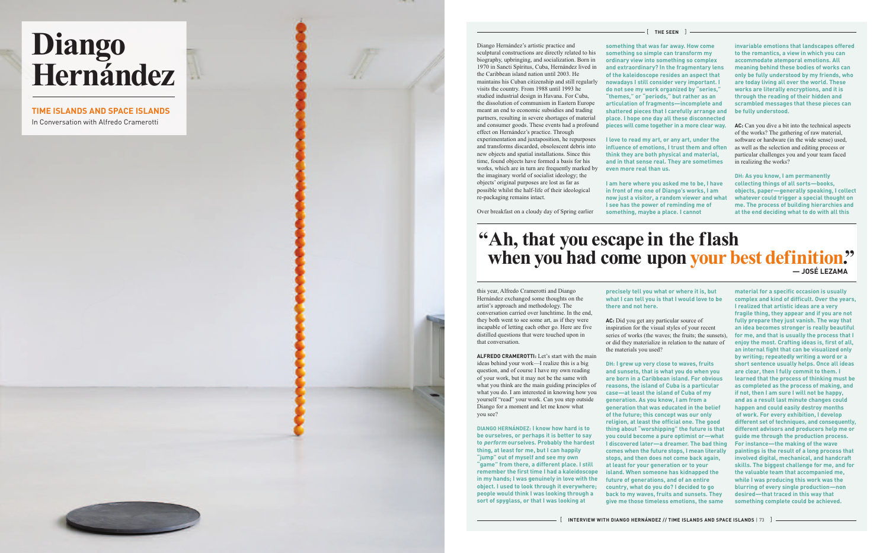[

sculptural constructions are directly related to his biography, upbringing, and socialization. Born in 1970 in Sancti Spíritus, Cuba, Hernández lived in maintains his Cuban citizenship and still regularly the dissolution of communism in Eastern Europe partners, resulting in severe shortages of material and consumer goods. These events had a profound experimentation and juxtaposition, he repurposes and transforms discarded, obsolescent debris into works, which are in turn are frequently marked by

something that was far away. How come something so simple can transform my ordinary view into something so complex and extraordinary? In the fragmentary lens of the kaleidoscope resides an aspect that nowadays I still consider very important. I do not see my work organized by "series." "themes." or "periods." but rather as an articulation of fragments-incomplete and shattered pieces that I carefully arrange and place. I hope one day all these disconnected pieces will come together in a more clear way.

I love to read my art, or any art, under the influence of emotions. I trust them and often think they are both physical and material. and in that sense real. They are sometimes even more real than us.

I am here where you asked me to be. I have in front of me one of Diango's works. I am now just a visitor, a random viewer and what I see has the power of reminding me of something, maybe a place. I cannot

invariable emotions that landscapes offered to the romantics, a view in which you can accommodate atemporal emotions. All meaning behind these bodies of works can only be fully understood by my friends, who are today living all over the world. These works are literally encryptions, and it is through the reading of their hidden and scrambled messages that these pieces can **be fully understood.** 

AC: Can you dive a bit into the technical aspects of the works? The gathering of raw material, software or hardware (in the wide sense) used, as well as the selection and editing process or particular challenges you and your team faced in realizing the works?

DH: As you know. I am permanently collecting things of all sorts-books. obiects, paper-generally speaking, I collect whatever could trigger a special thought on me. The process of building hierarchies and at the end deciding what to do with all this

]

# **" Ah, th a t you escape i n the f l ash when you had come upon your best definition."**

incapable of letting each other go. Here are five distilled questions that were touched upon in

precisely tell you what or where it is, but what I can tell you is that I would love to be there and not here.

AC: Did you get any particular source of inspiration for the visual styles of your recent series of works (the waves; the fruits; the sunsets), or did they materialize in relation to the nature of the materials you used?

DH: I grew up very close to waves, fruits and sunsets, that is what you do when you are born in a Caribbean island. For obvious reasons, the island of Cuba is a particular case-at least the island of Cuba of my generation. As you know. I am from a generation that was educated in the belief of the future: this concept was our only religion, at least the official one. The good thing about "worshipping" the future is that vou could become a pure optimist or-what I discovered later-a dreamer. The bad thing comes when the future stops. I mean literally stops, and then does not come back again. at least for your generation or to your island. When someone has kidnapped the future of generations, and of an entire country, what do you do? I decided to go back to my waves, fruits and sunsets. They give me those timeless emotions, the same

material for a specific occasion is usually complex and kind of difficult. Over the vears. I realized that artistic ideas are a very fragile thing, they appear and if you are not fully prepare they just vanish. The way that an idea becomes stronger is really beautiful for me, and that is usually the process that I eniov the most. Crafting ideas is, first of all. an internal fight that can be visualized only by writing: repeatedly writing a word or a short sentence usually helps. Once all ideas are clear, then I fully commit to them. I learned that the process of thinking must be as completed as the process of making, and if not, then I am sure I will not be happy. and as a result last minute changes could happen and could easily destroy months of work. For every exhibition. I develop different set of techniques, and consequently. different advisors and producers help me or quide me through the production process. For instance-the making of the wave paintings is the result of a long process that involved digital, mechanical, and handcraft skills. The biggest challenge for me, and for the valuable team that accompanied me. while I was producing this work was the blurring of every single production-non desired—that traced in this way that something complete could be achieved.

# **Diango Hernánde z**

TIME ISLANDS AND SPACE ISLANDS

In Conversation with Alfredo Cramerotti



Diango Hernández's artistic practice and the Caribbean island nation until 2003. He visits the country. From 1988 until 1993 he studied industrial design in Havana. For Cuba, meant an end to economic subsidies and trading effect on Hernández's practice. Through new objects and spatial installations. Since this time, found objects have formed a basis for his the imaginary world of socialist ideology; the objects' original purposes are lost as far as possible whilst the half-life of their ideological re-packaging remains intact. Over breakfast on a cloudy day of Spring earlier this year, Alfredo Cramerotti and Diango Hernández exchanged some thoughts on the artist's approach and methodology. The conversation carried over lunchtime. In the end, they both went to see some art, as if they were

> **ALFREDO CRAMEROTTI:** Let's start with the main ideas behind your work—I realize this is a big question, and of course I have my own reading of your work, but it may not be the same with what you think are the main guiding principles of what you do. I am interested in knowing how you yourself "read" your work. Can you step outside Diango for a moment and let me know what you see?

that conversation.

**DIANGO HERNÁNDEZ: I know how hard is to** be ourselves, or perhaps it is better to say to *perform* ourselves. Probably the hardest thing, at least for me, but I can happily "iump" out of myself and see my own "game" from there, a different place, I still remember the first time I had a kaleidoscope in my hands: I was genuinely in love with the obiect. I used to look through it everywhere: people would think I was looking through a sort of spyglass, or that I was looking at

#### **THE SEEN**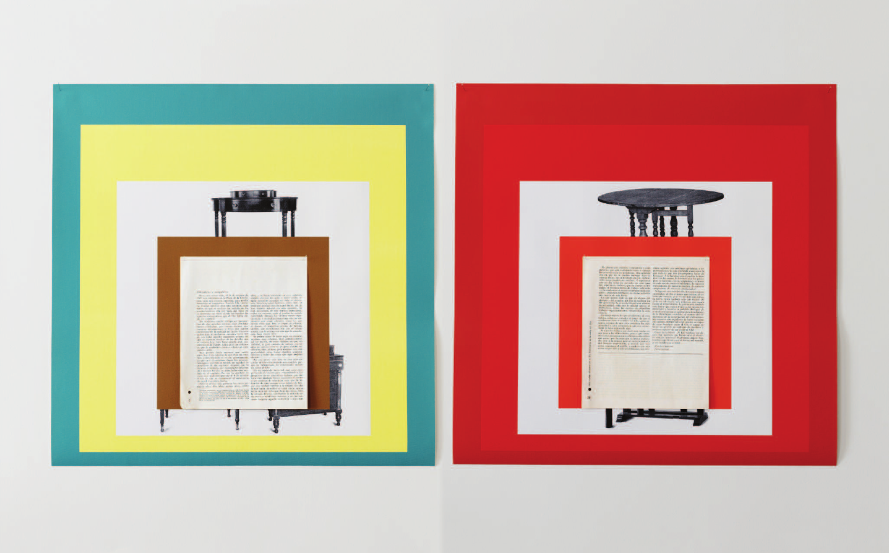